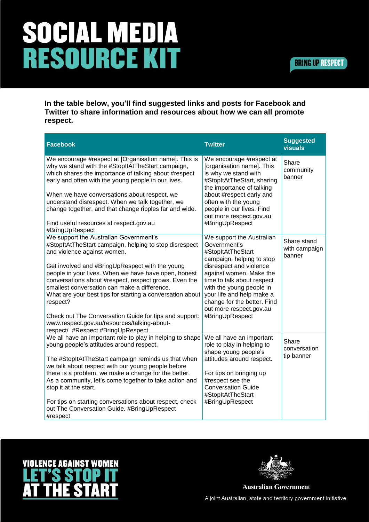## SOCIAL MEDIA **RESOURCE KIT**

In the table below, you'll find suggested links and posts for Facebook and Twitter to share information and resources about how we can all promote respect.

| <b>Facebook</b>                                                                                                                                                                                                                                                                                                                                                                                                                                                                                                                                                            | <b>Twitter</b>                                                                                                                                                                                                                                                                                                        | <b>Suggested</b><br><b>visuals</b>     |
|----------------------------------------------------------------------------------------------------------------------------------------------------------------------------------------------------------------------------------------------------------------------------------------------------------------------------------------------------------------------------------------------------------------------------------------------------------------------------------------------------------------------------------------------------------------------------|-----------------------------------------------------------------------------------------------------------------------------------------------------------------------------------------------------------------------------------------------------------------------------------------------------------------------|----------------------------------------|
| We encourage #respect at [Organisation name]. This is<br>why we stand with the #StopItAtTheStart campaign,<br>which shares the importance of talking about #respect<br>early and often with the young people in our lives.<br>When we have conversations about respect, we<br>understand disrespect. When we talk together, we<br>change together, and that change ripples far and wide.<br>Find useful resources at respect.gov.au<br>#BringUpRespect                                                                                                                     | We encourage #respect at<br>[organisation name]. This<br>is why we stand with<br>#StopItAtTheStart, sharing<br>the importance of talking<br>about #respect early and<br>often with the young<br>people in our lives. Find<br>out more respect.gov.au<br>#BringUpRespect                                               | Share<br>community<br>banner           |
| We support the Australian Government's<br>#StopItAtTheStart campaign, helping to stop disrespect<br>and violence against women.<br>Get involved and #BringUpRespect with the young<br>people in your lives. When we have have open, honest<br>conversations about #respect, respect grows. Even the<br>smallest conversation can make a difference.<br>What are your best tips for starting a conversation about<br>respect?<br>Check out The Conversation Guide for tips and support:<br>www.respect.gov.au/resources/talking-about-<br>respect/ #Respect #BringUpRespect | We support the Australian<br>Government's<br>#StopItAtTheStart<br>campaign, helping to stop<br>disrespect and violence<br>against women. Make the<br>time to talk about respect<br>with the young people in<br>your life and help make a<br>change for the better. Find<br>out more respect.gov.au<br>#BringUpRespect | Share stand<br>with campaign<br>banner |
| We all have an important role to play in helping to shape<br>young people's attitudes around respect.<br>The #StopItAtTheStart campaign reminds us that when<br>we talk about respect with our young people before<br>there is a problem, we make a change for the better.<br>As a community, let's come together to take action and<br>stop it at the start.<br>For tips on starting conversations about respect, check<br>out The Conversation Guide. #BringUpRespect<br>#respect                                                                                        | We all have an important<br>role to play in helping to<br>shape young people's<br>attitudes around respect.<br>For tips on bringing up<br>#respect see the<br><b>Conversation Guide</b><br>#StopItAtTheStart<br>#BringUpRespect                                                                                       | Share<br>conversation<br>tip banner    |





**Australian Government** 

A joint Australian, state and territory government initiative.